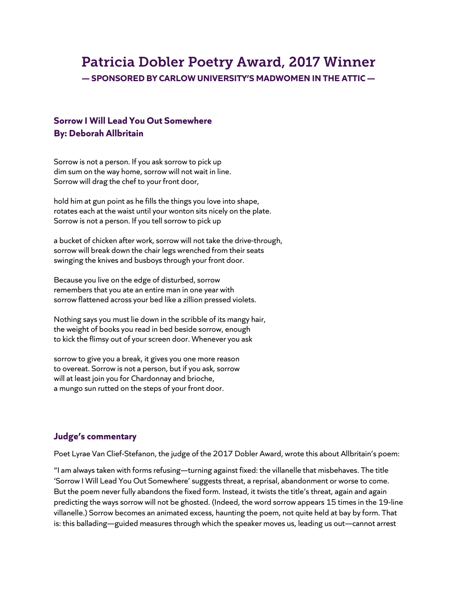# Patricia Dobler Poetry Award, 2017 Winner **— SPONSORED BY CARLOW UNIVERSITY'S MADWOMEN IN THE ATTIC —**

## **Sorrow I Will Lead You Out Somewhere By: Deborah Allbritain**

Sorrow is not a person. If you ask sorrow to pick up dim sum on the way home, sorrow will not wait in line. Sorrow will drag the chef to your front door,

hold him at gun point as he fills the things you love into shape, rotates each at the waist until your wonton sits nicely on the plate. Sorrow is not a person. If you tell sorrow to pick up

a bucket of chicken after work, sorrow will not take the drive-through, sorrow will break down the chair legs wrenched from their seats swinging the knives and busboys through your front door.

Because you live on the edge of disturbed, sorrow remembers that you ate an entire man in one year with sorrow flattened across your bed like a zillion pressed violets.

Nothing says you must lie down in the scribble of its mangy hair, the weight of books you read in bed beside sorrow, enough to kick the flimsy out of your screen door. Whenever you ask

sorrow to give you a break, it gives you one more reason to overeat. Sorrow is not a person, but if you ask, sorrow will at least join you for Chardonnay and brioche, a mungo sun rutted on the steps of your front door.

### **Judge's commentary**

Poet Lyrae Van Clief-Stefanon, the judge of the 2017 Dobler Award, wrote this about Allbritain's poem:

"I am always taken with forms refusing—turning against fixed: the villanelle that misbehaves. The title 'Sorrow I Will Lead You Out Somewhere' suggests threat, a reprisal, abandonment or worse to come. But the poem never fully abandons the fixed form. Instead, it twists the title's threat, again and again predicting the ways sorrow will not be ghosted. (Indeed, the word sorrow appears 15 times in the 19-line villanelle.) Sorrow becomes an animated excess, haunting the poem, not quite held at bay by form. That is: this ballading—guided measures through which the speaker moves us, leading us out—cannot arrest